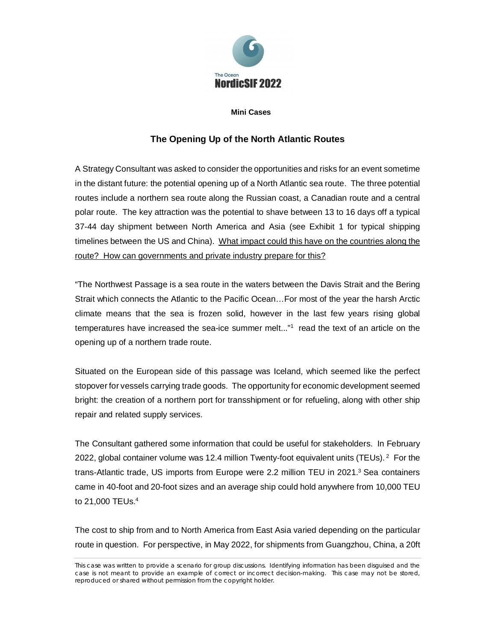

## **Mini Cases**

## **The Opening Up of the North Atlantic Routes**

A Strategy Consultant was asked to consider the opportunities and risks for an event sometime in the distant future: the potential opening up of a North Atlantic sea route. The three potential routes include a northern sea route along the Russian coast, a Canadian route and a central polar route. The key attraction was the potential to shave between 13 to 16 days off a typical 37-44 day shipment between North America and Asia (see Exhibit 1 for typical shipping timelines between the US and China). What impact could this have on the countries along the route? How can governments and private industry prepare for this?

"The Northwest Passage is a sea route in the waters between the Davis Strait and the Bering Strait which connects the Atlantic to the Pacific Ocean…For most of the year the harsh Arctic climate means that the sea is frozen solid, however in the last few years rising global temperatures have increased the sea-ice summer melt..."<sup>1</sup> read the text of an article on the opening up of a northern trade route.

Situated on the European side of this passage was Iceland, which seemed like the perfect stopover for vessels carrying trade goods. The opportunity for economic development seemed bright: the creation of a northern port for transshipment or for refueling, along with other ship repair and related supply services.

The Consultant gathered some information that could be useful for stakeholders. In February 2022, global container volume was 12.4 million Twenty-foot equivalent units (TEUs).<sup>2</sup> For the trans-Atlantic trade, US imports from Europe were 2.2 million TEU in 2021.<sup>3</sup> Sea containers came in 40-foot and 20-foot sizes and an average ship could hold anywhere from 10,000 TEU to 21,000 TEUs.<sup>4</sup>

The cost to ship from and to North America from East Asia varied depending on the particular route in question. For perspective, in May 2022, for shipments from Guangzhou, China, a 20ft

This case was written to provide a scenario for group discussions. Identifying information has been disguised and the case is not meant to provide an example of correct or incorrect decision-making. This case may not be stored, reproduced or shared without permission from the copyright holder.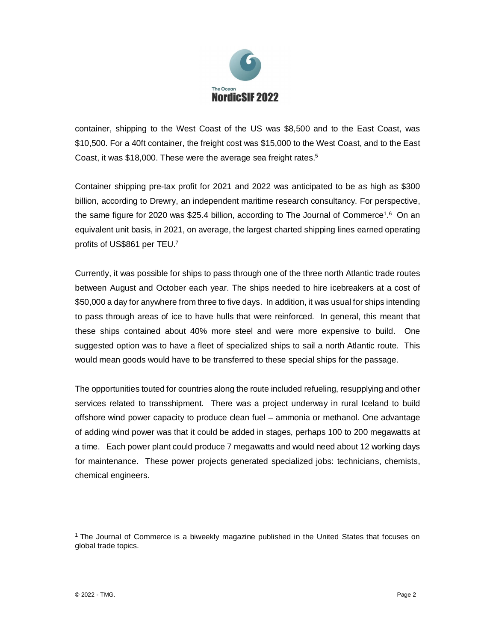

container, shipping to the West Coast of the US was \$8,500 and to the East Coast, was \$10,500. For a 40ft container, the freight cost was \$15,000 to the West Coast, and to the East Coast, it was \$18,000. These were the average sea freight rates.<sup>5</sup>

Container shipping pre-tax profit for 2021 and 2022 was anticipated to be as high as \$300 billion, according to Drewry, an independent maritime research consultancy. For perspective, the same figure for 2020 was \$25.4 billion, according to The Journal of Commerce<sup>1,6</sup> On an equivalent unit basis, in 2021, on average, the largest charted shipping lines earned operating profits of US\$861 per TEU.<sup>7</sup>

Currently, it was possible for ships to pass through one of the three north Atlantic trade routes between August and October each year. The ships needed to hire icebreakers at a cost of \$50,000 a day for anywhere from three to five days. In addition, it was usual for ships intending to pass through areas of ice to have hulls that were reinforced. In general, this meant that these ships contained about 40% more steel and were more expensive to build. One suggested option was to have a fleet of specialized ships to sail a north Atlantic route. This would mean goods would have to be transferred to these special ships for the passage.

The opportunities touted for countries along the route included refueling, resupplying and other services related to transshipment. There was a project underway in rural Iceland to build offshore wind power capacity to produce clean fuel – ammonia or methanol. One advantage of adding wind power was that it could be added in stages, perhaps 100 to 200 megawatts at a time. Each power plant could produce 7 megawatts and would need about 12 working days for maintenance. These power projects generated specialized jobs: technicians, chemists, chemical engineers.

<sup>&</sup>lt;sup>1</sup> The Journal of Commerce is a biweekly magazine published in the United States that focuses on global trade topics.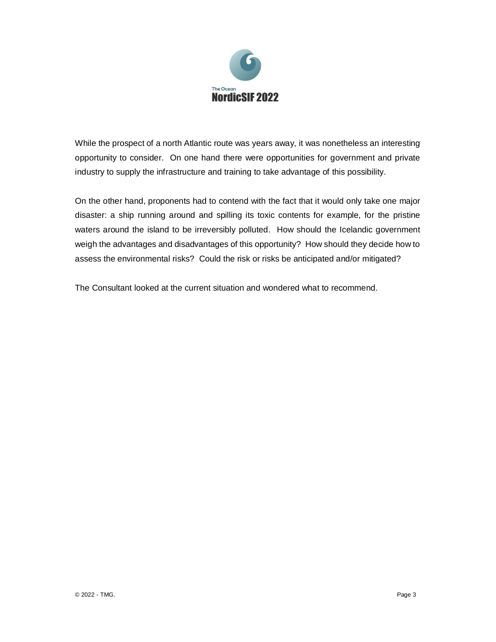

While the prospect of a north Atlantic route was years away, it was nonetheless an interesting opportunity to consider. On one hand there were opportunities for government and private industry to supply the infrastructure and training to take advantage of this possibility.

On the other hand, proponents had to contend with the fact that it would only take one major disaster: a ship running around and spilling its toxic contents for example, for the pristine waters around the island to be irreversibly polluted. How should the Icelandic government weigh the advantages and disadvantages of this opportunity? How should they decide how to assess the environmental risks? Could the risk or risks be anticipated and/or mitigated?

The Consultant looked at the current situation and wondered what to recommend.